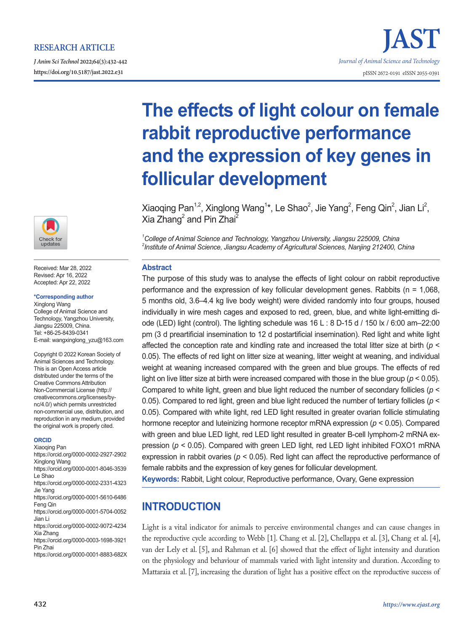## **RESEARCH ARTICLE**

*J Anim Sci Technol* **2022;64(3):432-442 https://doi.org/10.5187/jast.2022.e31** pISSN 2672-0191 eISSN 2055-0391



Received: Mar 28, 2022 Revised: Apr 16, 2022 Accepted: Apr 22, 2022

#### **\*Corresponding author**

Xinglong Wang College of Animal Science and Technology, Yangzhou University, Jiangsu 225009, China. Tel: +86-25-8439-0341 E-mail: wangxinglong\_yzu@163.com

Copyright © 2022 Korean Society of Animal Sciences and Technology. This is an Open Access article distributed under the terms of the Creative Commons Attribution Non-Commercial License (http:// creativecommons.org/licenses/bync/4.0/) which permits unrestricted non-commercial use, distribution, and reproduction in any medium, provided the original work is properly cited.

#### **ORCID**

Xiaoqing Pan https://orcid.org/0000-0002-2927-2902 Xinglong Wang https://orcid.org/0000-0001-8046-3539 Le Shao https://orcid.org/0000-0002-2331-4323 Jie Yang https://orcid.org/0000-0001-5610-6486 Feng Qin https://orcid.org/0000-0001-5704-0052 Jian Li https://orcid.org/0000-0002-9072-4234 Xia Zhang https://orcid.org/0000-0003-1698-3921 Pin Zhai https://orcid.org/0000-0001-8883-682X

# **The effects of light colour on female rabbit reproductive performance and the expression of key genes in follicular development**

Xiaoqing Pan<sup>1,2</sup>, Xinglong Wang<sup>1\*</sup>, Le Shao<sup>2</sup>, Jie Yang<sup>2</sup>, Feng Qin<sup>2</sup>, Jian Li<sup>2</sup>, Xia Zhang<sup>2</sup> and Pin Zhai<sup>2</sup>

*1 College of Animal Science and Technology, Yangzhou University, Jiangsu 225009, China 2 Institute of Animal Science, Jiangsu Academy of Agricultural Sciences, Nanjing 212400, China*

#### **Abstract**

The purpose of this study was to analyse the effects of light colour on rabbit reproductive performance and the expression of key follicular development genes. Rabbits (n = 1,068, 5 months old, 3.6–4.4 kg live body weight) were divided randomly into four groups, housed individually in wire mesh cages and exposed to red, green, blue, and white light-emitting diode (LED) light (control). The lighting schedule was 16 L : 8 D-15 d / 150 lx / 6:00 am–22:00 pm (3 d preartificial insemination to 12 d postartificial insemination). Red light and white light affected the conception rate and kindling rate and increased the total litter size at birth (*p* < 0.05). The effects of red light on litter size at weaning, litter weight at weaning, and individual weight at weaning increased compared with the green and blue groups. The effects of red light on live litter size at birth were increased compared with those in the blue group ( $p < 0.05$ ). Compared to white light, green and blue light reduced the number of secondary follicles (*p* < 0.05). Compared to red light, green and blue light reduced the number of tertiary follicles (*p* < 0.05). Compared with white light, red LED light resulted in greater ovarian follicle stimulating hormone receptor and luteinizing hormone receptor mRNA expression (*p* < 0.05). Compared with green and blue LED light, red LED light resulted in greater B-cell lymphom-2 mRNA expression (*p* < 0.05). Compared with green LED light, red LED light inhibited FOXO1 mRNA expression in rabbit ovaries (*p* < 0.05). Red light can affect the reproductive performance of female rabbits and the expression of key genes for follicular development.

**Keywords:** Rabbit, Light colour, Reproductive performance, Ovary, Gene expression

## **INTRODUCTION**

Light is a vital indicator for animals to perceive environmental changes and can cause changes in the reproductive cycle according to Webb [1]. Chang et al. [2], Chellappa et al. [3], Chang et al. [4], van der Lely et al. [5], and Rahman et al. [6] showed that the effect of light intensity and duration on the physiology and behaviour of mammals varied with light intensity and duration. According to Mattaraia et al. [7], increasing the duration of light has a positive effect on the reproductive success of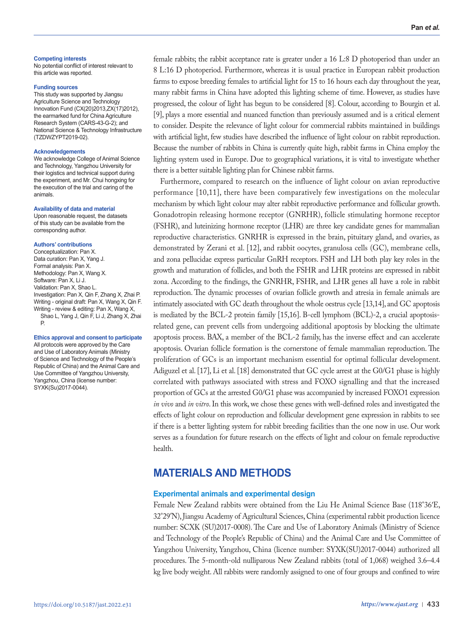#### **Competing interests**

No potential conflict of interest relevant to this article was reported.

#### **Funding sources**

This study was supported by Jiangsu Agriculture Science and Technology Innovation Fund (CX(20)2013,ZX(17)2012), the earmarked fund for China Agriculture Research System (CARS-43-G-2); and National Science & Technology Infrastructure (TZDWZYPT2019-02).

#### **Acknowledgements**

We acknowledge College of Animal Science and Technology, Yangzhou University for their logistics and technical support during the experiment, and Mr. Chui hongxing for the execution of the trial and caring of the animals.

#### **Availability of data and material**

Upon reasonable request, the datasets of this study can be available from the corresponding author.

#### **Authors' contributions**

Conceptualization: Pan X. Data curation: Pan X, Yang J. Formal analysis: Pan X. Methodology: Pan X, Wang X. Software: Pan X, Li, J. Validation: Pan X, Shao L. Investigation: Pan X, Qin F, Zhang X, Zhai P. Writing - original draft: Pan X, Wang X, Qin F. Writing - review & editing: Pan X, Wang X, Shao L, Yang J, Qin F, Li J, Zhang X, Zhai P.

#### **Ethics approval and consent to participate**

All protocols were approved by the Care and Use of Laboratory Animals (Ministry of Science and Technology of the People's Republic of China) and the Animal Care and Use Committee of Yangzhou University, Yangzhou, China (license number: SYXK(Su)2017-0044).

female rabbits; the rabbit acceptance rate is greater under a 16 L:8 D photoperiod than under an 8 L:16 D photoperiod. Furthermore, whereas it is usual practice in European rabbit production farms to expose breeding females to artificial light for 15 to 16 hours each day throughout the year, many rabbit farms in China have adopted this lighting scheme of time. However, as studies have progressed, the colour of light has begun to be considered [8]. Colour, according to Bourgin et al. [9], plays a more essential and nuanced function than previously assumed and is a critical element to consider. Despite the relevance of light colour for commercial rabbits maintained in buildings with artificial light, few studies have described the influence of light colour on rabbit reproduction. Because the number of rabbits in China is currently quite high, rabbit farms in China employ the lighting system used in Europe. Due to geographical variations, it is vital to investigate whether there is a better suitable lighting plan for Chinese rabbit farms.

Furthermore, compared to research on the influence of light colour on avian reproductive performance [10,11], there have been comparatively few investigations on the molecular mechanism by which light colour may alter rabbit reproductive performance and follicular growth. Gonadotropin releasing hormone receptor (GNRHR), follicle stimulating hormone receptor (FSHR), and luteinizing hormone receptor (LHR) are three key candidate genes for mammalian reproductive characteristics. GNRHR is expressed in the brain, pituitary gland, and ovaries, as demonstrated by Zerani et al. [12], and rabbit oocytes, granulosa cells (GC), membrane cells, and zona pellucidae express particular GnRH receptors. FSH and LH both play key roles in the growth and maturation of follicles, and both the FSHR and LHR proteins are expressed in rabbit zona. According to the findings, the GNRHR, FSHR, and LHR genes all have a role in rabbit reproduction. The dynamic processes of ovarian follicle growth and atresia in female animals are intimately associated with GC death throughout the whole oestrus cycle [13,14], and GC apoptosis is mediated by the BCL-2 protein family [15,16]. B-cell lymphom (BCL)-2, a crucial apoptosisrelated gene, can prevent cells from undergoing additional apoptosis by blocking the ultimate apoptosis process. BAX, a member of the BCL-2 family, has the inverse effect and can accelerate apoptosis. Ovarian follicle formation is the cornerstone of female mammalian reproduction. The proliferation of GCs is an important mechanism essential for optimal follicular development. Adiguzel et al. [17], Li et al. [18] demonstrated that GC cycle arrest at the G0/G1 phase is highly correlated with pathways associated with stress and FOXO signalling and that the increased proportion of GCs at the arrested G0/G1 phase was accompanied by increased FOXO1 expression *in vivo* and *in vitro*. In this work, we chose these genes with well-defined roles and investigated the effects of light colour on reproduction and follicular development gene expression in rabbits to see if there is a better lighting system for rabbit breeding facilities than the one now in use. Our work serves as a foundation for future research on the effects of light and colour on female reproductive health.

# **MATERIALS AND METHODS**

#### **Experimental animals and experimental design**

Female New Zealand rabbits were obtained from the Liu He Animal Science Base (118°36′E, 32°29′N), Jiangsu Academy of Agricultural Sciences, China (experimental rabbit production licence number: SCXK (SU)2017-0008). The Care and Use of Laboratory Animals (Ministry of Science and Technology of the People's Republic of China) and the Animal Care and Use Committee of Yangzhou University, Yangzhou, China (licence number: SYXK(SU)2017-0044) authorized all procedures. The 5-month-old nulliparous New Zealand rabbits (total of 1,068) weighed 3.6–4.4 kg live body weight. All rabbits were randomly assigned to one of four groups and confined to wire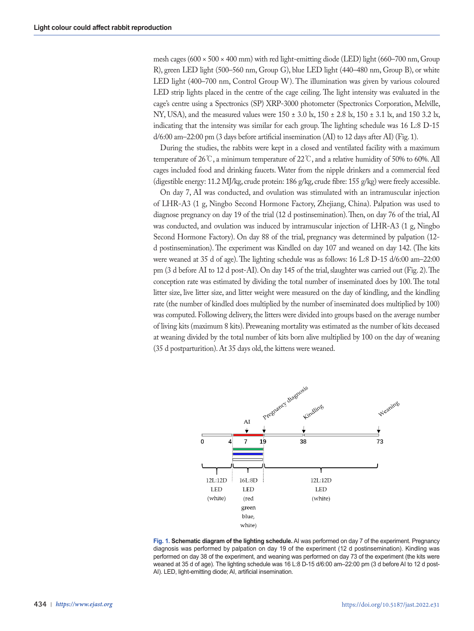mesh cages  $(600 \times 500 \times 400$  mm) with red light-emitting diode (LED) light  $(660-700$  nm, Group R), green LED light (500–560 nm, Group G), blue LED light (440–480 nm, Group B), or white LED light (400–700 nm, Control Group W). The illumination was given by various coloured LED strip lights placed in the centre of the cage ceiling. The light intensity was evaluated in the cage's centre using a Spectronics (SP) XRP-3000 photometer (Spectronics Corporation, Melville, NY, USA), and the measured values were 150  $\pm$  3.0 lx, 150  $\pm$  2.8 lx, 150  $\pm$  3.1 lx, and 150 3.2 lx, indicating that the intensity was similar for each group. The lighting schedule was 16 L:8 D-15 d/6:00 am–22:00 pm (3 days before artificial insemination (AI) to 12 days after AI) (Fig. 1).

During the studies, the rabbits were kept in a closed and ventilated facility with a maximum temperature of 26 °C, a minimum temperature of 22 °C, and a relative humidity of 50% to 60%. All cages included food and drinking faucets. Water from the nipple drinkers and a commercial feed (digestible energy: 11.2 MJ/kg, crude protein: 186 g/kg, crude fibre: 155 g/kg) were freely accessible.

On day 7, AI was conducted, and ovulation was stimulated with an intramuscular injection of LHR-A3 (1 g, Ningbo Second Hormone Factory, Zhejiang, China). Palpation was used to diagnose pregnancy on day 19 of the trial (12 d postinsemination). Then, on day 76 of the trial, AI was conducted, and ovulation was induced by intramuscular injection of LHR-A3 (1 g, Ningbo Second Hormone Factory). On day 88 of the trial, pregnancy was determined by palpation (12 d postinsemination). The experiment was Kindled on day 107 and weaned on day 142. (The kits were weaned at 35 d of age). The lighting schedule was as follows: 16 L:8 D-15 d/6:00 am–22:00 pm (3 d before AI to 12 d post-AI). On day 145 of the trial, slaughter was carried out (Fig. 2). The conception rate was estimated by dividing the total number of inseminated does by 100. The total litter size, live litter size, and litter weight were measured on the day of kindling, and the kindling rate (the number of kindled does multiplied by the number of inseminated does multiplied by 100) was computed. Following delivery, the litters were divided into groups based on the average number of living kits (maximum 8 kits). Preweaning mortality was estimated as the number of kits deceased at weaning divided by the total number of kits born alive multiplied by 100 on the day of weaning (35 d postparturition). At 35 days old, the kittens were weaned.



**Fig. 1. Schematic diagram of the lighting schedule.** AI was performed on day 7 of the experiment. Pregnancy diagnosis was performed by palpation on day 19 of the experiment (12 d postinsemination). Kindling was performed on day 38 of the experiment, and weaning was performed on day 73 of the experiment (the kits were weaned at 35 d of age). The lighting schedule was 16 L:8 D-15 d/6:00 am–22:00 pm (3 d before AI to 12 d post-AI). LED, light-emitting diode; AI, artificial insemination.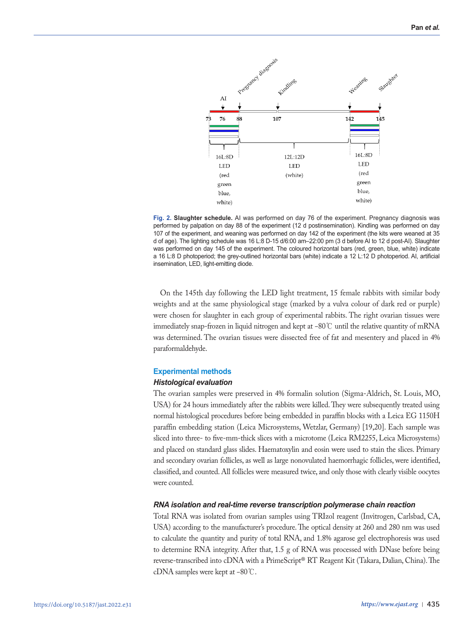

**Fig. 2. Slaughter schedule.** AI was performed on day 76 of the experiment. Pregnancy diagnosis was performed by palpation on day 88 of the experiment (12 d postinsemination). Kindling was performed on day 107 of the experiment, and weaning was performed on day 142 of the experiment (the kits were weaned at 35 d of age). The lighting schedule was 16 L:8 D-15 d/6:00 am–22:00 pm (3 d before AI to 12 d post-AI). Slaughter was performed on day 145 of the experiment. The coloured horizontal bars (red, green, blue, white) indicate a 16 L:8 D photoperiod; the grey-outlined horizontal bars (white) indicate a 12 L:12 D photoperiod. AI, artificial insemination, LED, light-emitting diode.

On the 145th day following the LED light treatment, 15 female rabbits with similar body weights and at the same physiological stage (marked by a vulva colour of dark red or purple) were chosen for slaughter in each group of experimental rabbits. The right ovarian tissues were immediately snap-frozen in liquid nitrogen and kept at −80℃ until the relative quantity of mRNA was determined. The ovarian tissues were dissected free of fat and mesentery and placed in 4% paraformaldehyde.

#### **Experimental methods**

#### *Histological evaluation*

The ovarian samples were preserved in 4% formalin solution (Sigma-Aldrich, St. Louis, MO, USA) for 24 hours immediately after the rabbits were killed. They were subsequently treated using normal histological procedures before being embedded in paraffin blocks with a Leica EG 1150H paraffin embedding station (Leica Microsystems, Wetzlar, Germany) [19,20]. Each sample was sliced into three- to five-mm-thick slices with a microtome (Leica RM2255, Leica Microsystems) and placed on standard glass slides. Haematoxylin and eosin were used to stain the slices. Primary and secondary ovarian follicles, as well as large nonovulated haemorrhagic follicles, were identified, classified, and counted. All follicles were measured twice, and only those with clearly visible oocytes were counted.

#### *RNA isolation and real-time reverse transcription polymerase chain reaction*

Total RNA was isolated from ovarian samples using TRIzol reagent (Invitrogen, Carlsbad, CA, USA) according to the manufacturer's procedure. The optical density at 260 and 280 nm was used to calculate the quantity and purity of total RNA, and 1.8% agarose gel electrophoresis was used to determine RNA integrity. After that, 1.5 g of RNA was processed with DNase before being reverse-transcribed into cDNA with a PrimeScript® RT Reagent Kit (Takara, Dalian, China). The cDNA samples were kept at −80℃.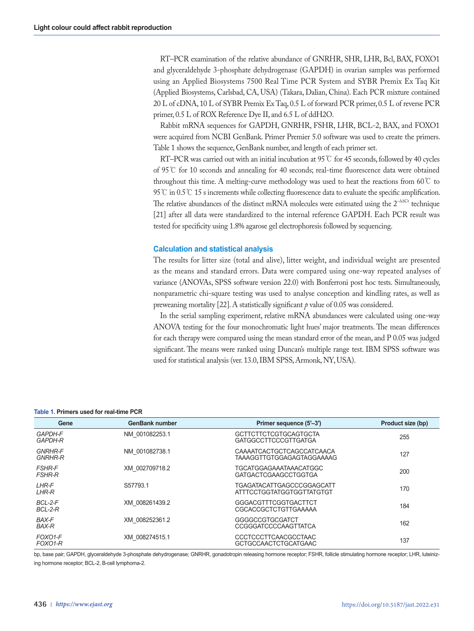RT–PCR examination of the relative abundance of GNRHR, SHR, LHR, Bcl, BAX, FOXO1 and glyceraldehyde 3-phosphate dehydrogenase (GAPDH) in ovarian samples was performed using an Applied Biosystems 7500 Real Time PCR System and SYBR Premix Ex Taq Kit (Applied Biosystems, Carlsbad, CA, USA) (Takara, Dalian, China). Each PCR mixture contained 20 L of cDNA, 10 L of SYBR Premix Ex Taq, 0.5 L of forward PCR primer, 0.5 L of reverse PCR primer, 0.5 L of ROX Reference Dye II, and 6.5 L of ddH2O.

Rabbit mRNA sequences for GAPDH, GNRHR, FSHR, LHR, BCL-2, BAX, and FOXO1 were acquired from NCBI GenBank. Primer Premier 5.0 software was used to create the primers. Table 1 shows the sequence, GenBank number, and length of each primer set.

RT–PCR was carried out with an initial incubation at 95  $\degree$  for 45 seconds, followed by 40 cycles of 95℃ for 10 seconds and annealing for 40 seconds; real-time fluorescence data were obtained throughout this time. A melting-curve methodology was used to heat the reactions from 60℃ to 95 ℃ in 0.5 ℃ 15 s increments while collecting fluorescence data to evaluate the specific amplification. The relative abundances of the distinct mRNA molecules were estimated using the  $2^{-\Delta\Delta Ct}$  technique [21] after all data were standardized to the internal reference GAPDH. Each PCR result was tested for specificity using 1.8% agarose gel electrophoresis followed by sequencing.

#### **Calculation and statistical analysis**

The results for litter size (total and alive), litter weight, and individual weight are presented as the means and standard errors. Data were compared using one-way repeated analyses of variance (ANOVAs, SPSS software version 22.0) with Bonferroni post hoc tests. Simultaneously, nonparametric chi-square testing was used to analyse conception and kindling rates, as well as preweaning mortality [22]. A statistically significant *p* value of 0.05 was considered.

In the serial sampling experiment, relative mRNA abundances were calculated using one-way ANOVA testing for the four monochromatic light hues' major treatments. The mean differences for each therapy were compared using the mean standard error of the mean, and P 0.05 was judged significant. The means were ranked using Duncan's multiple range test. IBM SPSS software was used for statistical analysis (ver. 13.0, IBM SPSS, Armonk, NY, USA).

#### **Table 1. Primers used for real-time PCR**

| Gene                             | <b>GenBank number</b> | Primer sequence (5'-3')                                       | Product size (bp) |
|----------------------------------|-----------------------|---------------------------------------------------------------|-------------------|
| <b>GAPDH-F</b><br><b>GAPDH-R</b> | NM 001082253.1        | <b>GCTTCTTCTCGTGCAGTGCTA</b><br>GATGGCCTTCCCGTTGATGA          | 255               |
| <b>GNRHR-F</b><br><b>GNRHR-R</b> | NM 001082738.1        | <b>CAAAATCACTGCTCAGCCATCAACA</b><br>TAAAGGTTGTGGAGAGTAGGAAAAG | 127               |
| <b>FSHR-F</b><br><b>FSHR-R</b>   | XM 002709718.2        | <b>TGCATGGAGAAATAAACATGGC</b><br><b>GATGACTCGAAGCCTGGTGA</b>  | 200               |
| <b>LHR-F</b><br><b>LHR-R</b>     | S57793.1              | <b>TGAGATACATTGAGCCCGGAGCATT</b><br>ATTTCCTGGTATGGTGGTTATGTGT | 170               |
| BCL-2-F<br>BCL-2-R               | XM 008261439.2        | GGGACGTTTCGGTGACTTCT<br>CGCACCGCTCTGTTGAAAAA                  | 184               |
| <b>BAX-F</b><br><b>BAX-R</b>     | XM 008252361.2        | GGGGCCGTGCGATCT<br>CCGGGATCCCCAAGTTATCA                       | 162               |
| FOXO1-F<br>FOXO1-R               | XM 008274515.1        | <b>CCCTCCCTTCAACGCCTAAC</b><br><b>GCTGCCAACTCTGCATGAAC</b>    | 137               |

bp, base pair; GAPDH, glyceraldehyde 3-phosphate dehydrogenase; GNRHR, gonadotropin releasing hormone receptor; FSHR, follicle stimulating hormone receptor; LHR, luteinizing hormone receptor; BCL-2, B-cell lymphoma-2.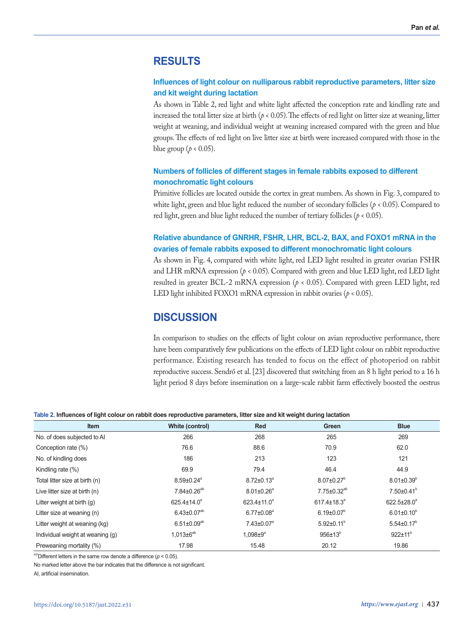## **RESULTS**

### **Influences of light colour on nulliparous rabbit reproductive parameters, litter size and kit weight during lactation**

As shown in Table 2, red light and white light affected the conception rate and kindling rate and increased the total litter size at birth ( $p < 0.05$ ). The effects of red light on litter size at weaning, litter weight at weaning, and individual weight at weaning increased compared with the green and blue groups. The effects of red light on live litter size at birth were increased compared with those in the blue group ( $p < 0.05$ ).

## **Numbers of follicles of different stages in female rabbits exposed to different monochromatic light colours**

Primitive follicles are located outside the cortex in great numbers. As shown in Fig. 3, compared to white light, green and blue light reduced the number of secondary follicles (*p <* 0.05). Compared to red light, green and blue light reduced the number of tertiary follicles ( $p < 0.05$ ).

## **Relative abundance of GNRHR, FSHR, LHR, BCL-2, BAX, and FOXO1 mRNA in the ovaries of female rabbits exposed to different monochromatic light colours**

As shown in Fig. 4, compared with white light, red LED light resulted in greater ovarian FSHR and LHR mRNA expression  $(p < 0.05)$ . Compared with green and blue LED light, red LED light resulted in greater BCL-2 mRNA expression  $(p < 0.05)$ . Compared with green LED light, red LED light inhibited FOXO1 mRNA expression in rabbit ovaries (*p <* 0.05).

## **DISCUSSION**

In comparison to studies on the effects of light colour on avian reproductive performance, there have been comparatively few publications on the effects of LED light colour on rabbit reproductive performance. Existing research has tended to focus on the effect of photoperiod on rabbit reproductive success. Sendrő et al. [23] discovered that switching from an 8 h light period to a 16 h light period 8 days before insemination on a large-scale rabbit farm effectively boosted the oestrus

#### **Table 2. Influences of light colour on rabbit does reproductive parameters, litter size and kit weight during lactation**

| Item                             | White (control)              | <b>Red</b>                   | Green                         | <b>Blue</b>        |
|----------------------------------|------------------------------|------------------------------|-------------------------------|--------------------|
| No. of does subjected to AI      | 266                          | 268                          | 265                           | 269                |
| Conception rate (%)              | 76.6                         | 88.6                         | 70.9                          | 62.0               |
| No. of kindling does             | 186                          | 213                          | 123                           | 121                |
| Kindling rate $(\%)$             | 69.9                         | 79.4                         | 46.4                          | 44.9               |
| Total litter size at birth (n)   | $8.59 \pm 0.24$ <sup>a</sup> | $8.72 \pm 0.13^{\circ}$      | $8.07 \pm 0.27$ <sup>b</sup>  | $8.01 \pm 0.39^b$  |
| Live litter size at birth (n)    | $7.84 \pm 0.26^{ab}$         | $8.01 \pm 0.26$ <sup>a</sup> | $7.75 \pm 0.32^{ab}$          | $7.50\pm0.41^b$    |
| Litter weight at birth $(q)$     | 625.4±14.0 <sup>a</sup>      | $623.4 \pm 11.0^a$           | $617.4 \pm 18.3$ <sup>a</sup> | $622.5 \pm 28.0^a$ |
| Litter size at weaning (n)       | $6.43 \pm 0.07^{ab}$         | $6.77 \pm 0.08^a$            | $6.19 \pm 0.07^b$             | $6.01 \pm 0.10^b$  |
| Litter weight at weaning (kg)    | $6.51 \pm 0.09^{ab}$         | $7.43 \pm 0.07$ <sup>a</sup> | $5.92 \pm 0.11^b$             | $5.54 \pm 0.17^b$  |
| Individual weight at weaning (q) | $1,013\pm6^{ab}$             | $1,098 \pm 9^a$              | $956 \pm 13^{b}$              | $922 \pm 11^{b}$   |
| Preweaning mortality (%)         | 17.98                        | 15.48                        | 20.12                         | 19.86              |

<sup>a,b</sup>Different letters in the same row denote a difference ( $p < 0.05$ ).

No marked letter above the bar indicates that the difference is not significant.

AI, artificial insemination.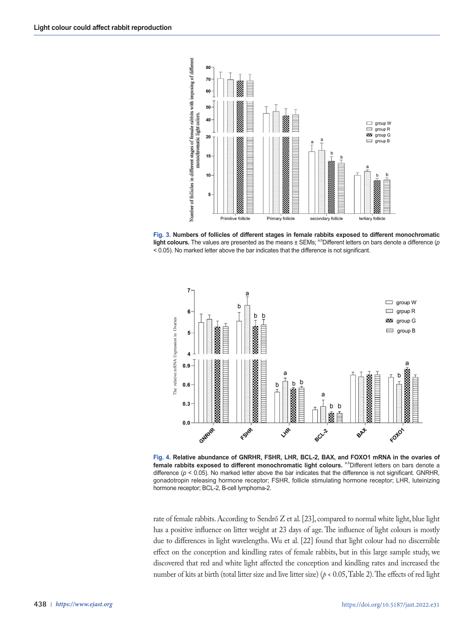

**Fig. 3. Numbers of follicles of different stages in female rabbits exposed to different monochromatic light colours.** The values are presented as the means ± SEMs; <sup>a,b</sup>Different letters on bars denote a difference (*p* < 0.05). No marked letter above the bar indicates that the difference is not significant.



Fig. 4. Relative abundance of GNRHR, FSHR, LHR, BCL-2, BAX, and FOXO1 mRNA in the ovaries of female rabbits exposed to different monochromatic light colours. <sup>a,b</sup>Different letters on bars denote a difference ( $p < 0.05$ ). No marked letter above the bar indicates that the difference is not significant. GNRHR, gonadotropin releasing hormone receptor; FSHR, follicle stimulating hormone receptor; LHR, luteinizing hormone receptor; BCL-2, B-cell lymphoma-2.

rate of female rabbits. According to Sendrő Z et al. [23], compared to normal white light, blue light has a positive influence on litter weight at 23 days of age. The influence of light colours is mostly due to differences in light wavelengths. Wu et al. [22] found that light colour had no discernible effect on the conception and kindling rates of female rabbits, but in this large sample study, we discovered that red and white light affected the conception and kindling rates and increased the number of kits at birth (total litter size and live litter size) (*p <* 0.05, Table 2). The effects of red light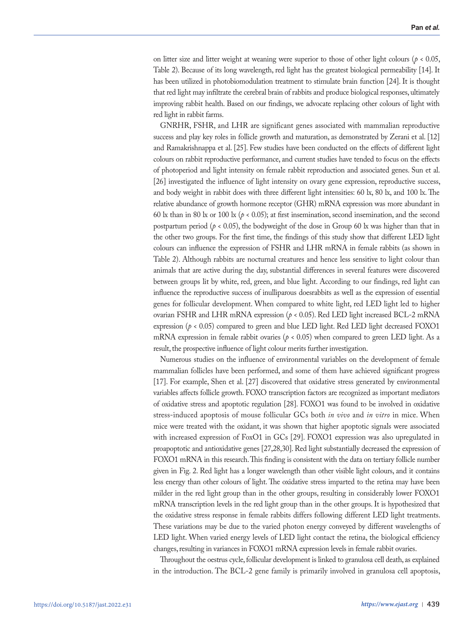on litter size and litter weight at weaning were superior to those of other light colours ( $p < 0.05$ , Table 2). Because of its long wavelength, red light has the greatest biological permeability [14]. It has been utilized in photobiomodulation treatment to stimulate brain function [24]. It is thought that red light may infiltrate the cerebral brain of rabbits and produce biological responses, ultimately improving rabbit health. Based on our findings, we advocate replacing other colours of light with red light in rabbit farms.

GNRHR, FSHR, and LHR are significant genes associated with mammalian reproductive success and play key roles in follicle growth and maturation, as demonstrated by Zerani et al. [12] and Ramakrishnappa et al. [25]. Few studies have been conducted on the effects of different light colours on rabbit reproductive performance, and current studies have tended to focus on the effects of photoperiod and light intensity on female rabbit reproduction and associated genes. Sun et al. [26] investigated the influence of light intensity on ovary gene expression, reproductive success, and body weight in rabbit does with three different light intensities: 60 lx, 80 lx, and 100 lx. The relative abundance of growth hormone receptor (GHR) mRNA expression was more abundant in 60 lx than in 80 lx or 100 lx ( $p < 0.05$ ); at first insemination, second insemination, and the second postpartum period ( $p < 0.05$ ), the bodyweight of the dose in Group 60 lx was higher than that in the other two groups. For the first time, the findings of this study show that different LED light colours can influence the expression of FSHR and LHR mRNA in female rabbits (as shown in Table 2). Although rabbits are nocturnal creatures and hence less sensitive to light colour than animals that are active during the day, substantial differences in several features were discovered between groups lit by white, red, green, and blue light. According to our findings, red light can influence the reproductive success of inulliparous doesrabbits as well as the expression of essential genes for follicular development. When compared to white light, red LED light led to higher ovarian FSHR and LHR mRNA expression (*p <* 0.05). Red LED light increased BCL-2 mRNA expression  $(p < 0.05)$  compared to green and blue LED light. Red LED light decreased FOXO1 mRNA expression in female rabbit ovaries ( $p < 0.05$ ) when compared to green LED light. As a result, the prospective influence of light colour merits further investigation.

Numerous studies on the influence of environmental variables on the development of female mammalian follicles have been performed, and some of them have achieved significant progress [17]. For example, Shen et al. [27] discovered that oxidative stress generated by environmental variables affects follicle growth. FOXO transcription factors are recognized as important mediators of oxidative stress and apoptotic regulation [28]. FOXO1 was found to be involved in oxidative stress-induced apoptosis of mouse follicular GCs both *in vivo* and *in vitro* in mice. When mice were treated with the oxidant, it was shown that higher apoptotic signals were associated with increased expression of FoxO1 in GCs [29]. FOXO1 expression was also upregulated in proapoptotic and antioxidative genes [27,28,30]. Red light substantially decreased the expression of FOXO1 mRNA in this research. This finding is consistent with the data on tertiary follicle number given in Fig. 2. Red light has a longer wavelength than other visible light colours, and it contains less energy than other colours of light. The oxidative stress imparted to the retina may have been milder in the red light group than in the other groups, resulting in considerably lower FOXO1 mRNA transcription levels in the red light group than in the other groups. It is hypothesized that the oxidative stress response in female rabbits differs following different LED light treatments. These variations may be due to the varied photon energy conveyed by different wavelengths of LED light. When varied energy levels of LED light contact the retina, the biological efficiency changes, resulting in variances in FOXO1 mRNA expression levels in female rabbit ovaries.

Throughout the oestrus cycle, follicular development is linked to granulosa cell death, as explained in the introduction. The BCL-2 gene family is primarily involved in granulosa cell apoptosis,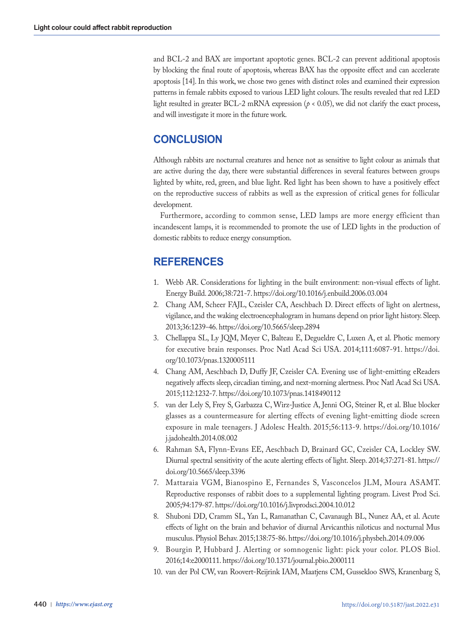and BCL-2 and BAX are important apoptotic genes. BCL-2 can prevent additional apoptosis by blocking the final route of apoptosis, whereas BAX has the opposite effect and can accelerate apoptosis [14]. In this work, we chose two genes with distinct roles and examined their expression patterns in female rabbits exposed to various LED light colours. The results revealed that red LED light resulted in greater BCL-2 mRNA expression (*p <* 0.05), we did not clarify the exact process, and will investigate it more in the future work.

# **CONCLUSION**

Although rabbits are nocturnal creatures and hence not as sensitive to light colour as animals that are active during the day, there were substantial differences in several features between groups lighted by white, red, green, and blue light. Red light has been shown to have a positively effect on the reproductive success of rabbits as well as the expression of critical genes for follicular development.

Furthermore, according to common sense, LED lamps are more energy efficient than incandescent lamps, it is recommended to promote the use of LED lights in the production of domestic rabbits to reduce energy consumption.

# **REFERENCES**

- 1. Webb AR. Considerations for lighting in the built environment: non-visual effects of light. Energy Build. 2006;38:721-7. https://doi.org/10.1016/j.enbuild.2006.03.004
- 2. Chang AM, Scheer FAJL, Czeisler CA, Aeschbach D. Direct effects of light on alertness, vigilance, and the waking electroencephalogram in humans depend on prior light history. Sleep. 2013;36:1239-46. https://doi.org/10.5665/sleep.2894
- 3. Chellappa SL, Ly JQM, Meyer C, Balteau E, Degueldre C, Luxen A, et al. Photic memory for executive brain responses. Proc Natl Acad Sci USA. 2014;111:6087-91. https://doi. org/10.1073/pnas.1320005111
- 4. Chang AM, Aeschbach D, Duffy JF, Czeisler CA. Evening use of light-emitting eReaders negatively affects sleep, circadian timing, and next-morning alertness. Proc Natl Acad Sci USA. 2015;112:1232-7. https://doi.org/10.1073/pnas.1418490112
- 5. van der Lely S, Frey S, Garbazza C, Wirz-Justice A, Jenni OG, Steiner R, et al. Blue blocker glasses as a countermeasure for alerting effects of evening light-emitting diode screen exposure in male teenagers. J Adolesc Health. 2015;56:113-9. https://doi.org/10.1016/ j.jadohealth.2014.08.002
- 6. Rahman SA, Flynn-Evans EE, Aeschbach D, Brainard GC, Czeisler CA, Lockley SW. Diurnal spectral sensitivity of the acute alerting effects of light. Sleep. 2014;37:271-81. https:// doi.org/10.5665/sleep.3396
- 7. Mattaraia VGM, Bianospino E, Fernandes S, Vasconcelos JLM, Moura ASAMT. Reproductive responses of rabbit does to a supplemental lighting program. Livest Prod Sci. 2005;94:179-87. https://doi.org/10.1016/j.livprodsci.2004.10.012
- 8. Shuboni DD, Cramm SL, Yan L, Ramanathan C, Cavanaugh BL, Nunez AA, et al. Acute effects of light on the brain and behavior of diurnal Arvicanthis niloticus and nocturnal Mus musculus. Physiol Behav. 2015;138:75-86. https://doi.org/10.1016/j.physbeh.2014.09.006
- 9. Bourgin P, Hubbard J. Alerting or somnogenic light: pick your color. PLOS Biol. 2016;14:e2000111. https://doi.org/10.1371/journal.pbio.2000111
- 10. van der Pol CW, van Roovert-Reijrink IAM, Maatjens CM, Gussekloo SWS, Kranenbarg S,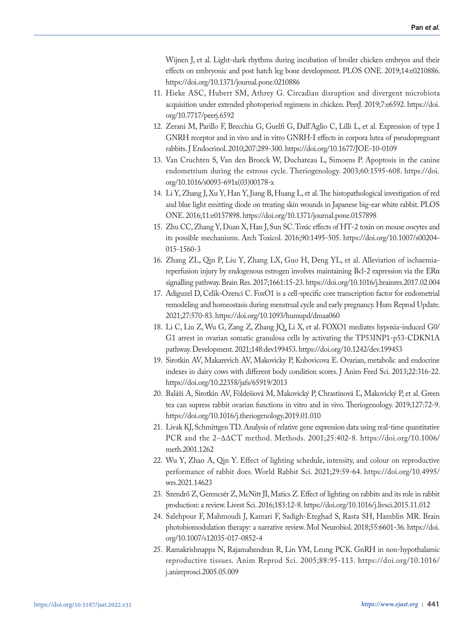Wijnen J, et al. Light-dark rhythms during incubation of broiler chicken embryos and their effects on embryonic and post hatch leg bone development. PLOS ONE. 2019;14:e0210886. https://doi.org/10.1371/journal.pone.0210886

- 11. Hieke ASC, Hubert SM, Athrey G. Circadian disruption and divergent microbiota acquisition under extended photoperiod regimens in chicken. PeerJ. 2019;7:e6592. https://doi. org/10.7717/peerj.6592
- 12. Zerani M, Parillo F, Brecchia G, Guelfi G, Dall'Aglio C, Lilli L, et al. Expression of type I GNRH receptor and in vivo and in vitro GNRH-I effects in corpora lutea of pseudopregnant rabbits. J Endocrinol. 2010;207:289-300. https://doi.org/10.1677/JOE-10-0109
- 13. Van Cruchten S, Van den Broeck W, Duchateau L, Simoens P. Apoptosis in the canine endometrium during the estrous cycle. Theriogenology. 2003;60:1595-608. https://doi. org/10.1016/s0093-691x(03)00178-x
- 14. Li Y, Zhang J, Xu Y, Han Y, Jiang B, Huang L, et al. The histopathological investigation of red and blue light emitting diode on treating skin wounds in Japanese big-ear white rabbit. PLOS ONE. 2016;11:e0157898. https://doi.org/10.1371/journal.pone.0157898
- 15. Zhu CC, Zhang Y, Duan X, Han J, Sun SC. Toxic effects of HT-2 toxin on mouse oocytes and its possible mechanisms. Arch Toxicol. 2016;90:1495-505. https://doi.org/10.1007/s00204- 015-1560-3
- 16. Zhang ZL, Qin P, Liu Y, Zhang LX, Guo H, Deng YL, et al. Alleviation of ischaemiareperfusion injury by endogenous estrogen involves maintaining Bcl-2 expression via the ERα signalling pathway. Brain Res. 2017;1661:15-23. https://doi.org/10.1016/j.brainres.2017.02.004
- 17. Adiguzel D, Celik-Ozenci C. FoxO1 is a cell-specific core transcription factor for endometrial remodeling and homeostasis during menstrual cycle and early pregnancy. Hum Reprod Update. 2021;27:570-83. https://doi.org/10.1093/humupd/dmaa060
- 18. Li C, Liu Z, Wu G, Zang Z, Zhang JQ, Li X, et al. FOXO1 mediates hypoxia-induced G0/ G1 arrest in ovarian somatic granulosa cells by activating the TP53INP1-p53-CDKN1A pathway. Development. 2021;148:dev199453. https://doi.org/10.1242/dev.199453
- 19. Sirotkin AV, Makarevich AV, Makovicky P, Kubovicova E. Ovarian, metabolic and endocrine indexes in dairy cows with different body condition scores. J Anim Feed Sci. 2013;22:316-22. https://doi.org/10.22358/jafs/65919/2013
- 20. Baláži A, Sirotkin AV, Földešiová M, Makovický P, Chrastinová Ľ, Makovický P, et al. Green tea can supress rabbit ovarian functions in vitro and in vivo. Theriogenology. 2019;127:72-9. https://doi.org/10.1016/j.theriogenology.2019.01.010
- 21. Livak KJ, Schmittgen TD. Analysis of relative gene expression data using real-time quantitative PCR and the 2−ΔΔCT method. Methods. 2001;25:402-8. https://doi.org/10.1006/ meth.2001.1262
- 22. Wu Y, Zhao A, Qin Y. Effect of lighting schedule, intensity, and colour on reproductive performance of rabbit does. World Rabbit Sci. 2021;29:59-64. https://doi.org/10.4995/ wrs.2021.14623
- 23. Szendrő Z, Gerencsér Z, McNitt JI, Matics Z. Effect of lighting on rabbits and its role in rabbit production: a review. Livest Sci. 2016;183:12-8. https://doi.org/10.1016/j.livsci.2015.11.012
- 24. Salehpour F, Mahmoudi J, Kamari F, Sadigh-Eteghad S, Rasta SH, Hamblin MR. Brain photobiomodulation therapy: a narrative review. Mol Neurobiol. 2018;55:6601-36. https://doi. org/10.1007/s12035-017-0852-4
- 25. Ramakrishnappa N, Rajamahendran R, Lin YM, Leung PCK. GnRH in non-hypothalamic reproductive tissues. Anim Reprod Sci. 2005;88:95-113. https://doi.org/10.1016/ j.anireprosci.2005.05.009